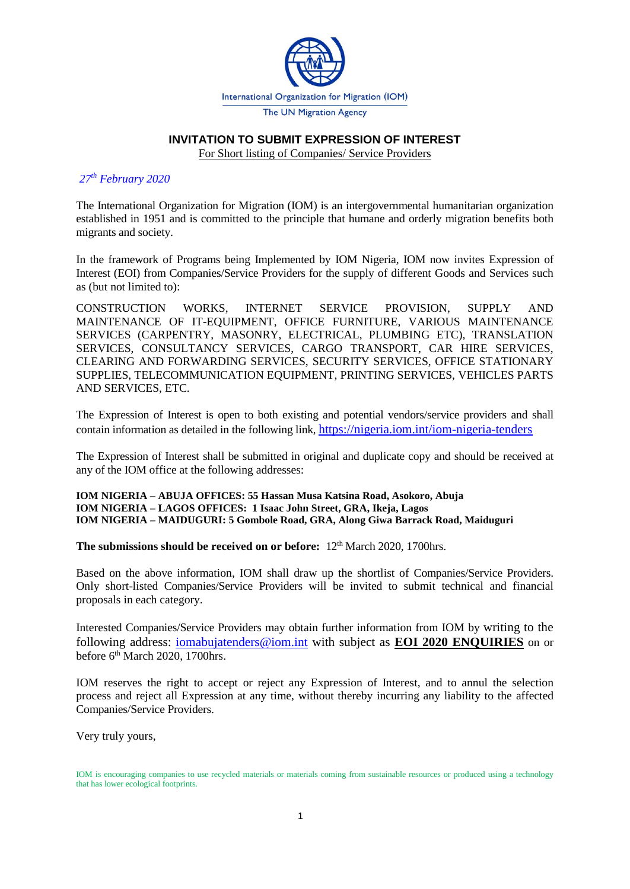

#### **INVITATION TO SUBMIT EXPRESSION OF INTEREST**

For Short listing of Companies/ Service Providers

#### *27 th February 2020*

The International Organization for Migration (IOM) is an intergovernmental humanitarian organization established in 1951 and is committed to the principle that humane and orderly migration benefits both migrants and society.

In the framework of Programs being Implemented by IOM Nigeria*,* IOM now invites Expression of Interest (EOI) from Companies/Service Providers for the supply of different Goods and Services such as (but not limited to):

CONSTRUCTION WORKS, INTERNET SERVICE PROVISION, SUPPLY AND MAINTENANCE OF IT-EQUIPMENT, OFFICE FURNITURE, VARIOUS MAINTENANCE SERVICES (CARPENTRY, MASONRY, ELECTRICAL, PLUMBING ETC), TRANSLATION SERVICES, CONSULTANCY SERVICES, CARGO TRANSPORT, CAR HIRE SERVICES, CLEARING AND FORWARDING SERVICES, SECURITY SERVICES, OFFICE STATIONARY SUPPLIES, TELECOMMUNICATION EQUIPMENT, PRINTING SERVICES, VEHICLES PARTS AND SERVICES, ETC*.* 

The Expression of Interest is open to both existing and potential vendors/service providers and shall contain information as detailed in the following link, <https://nigeria.iom.int/iom-nigeria-tenders>

The Expression of Interest shall be submitted in original and duplicate copy and should be received at any of the IOM office at the following addresses:

**IOM NIGERIA – ABUJA OFFICES: 55 Hassan Musa Katsina Road, Asokoro, Abuja IOM NIGERIA – LAGOS OFFICES: 1 Isaac John Street, GRA, Ikeja, Lagos IOM NIGERIA – MAIDUGURI: 5 Gombole Road, GRA, Along Giwa Barrack Road, Maiduguri**

**The submissions should be received on or before:**  $12<sup>th</sup>$  March 2020, 1700hrs.

Based on the above information, IOM shall draw up the shortlist of Companies/Service Providers. Only short-listed Companies/Service Providers will be invited to submit technical and financial proposals in each category.

Interested Companies/Service Providers may obtain further information from IOM by writing to the following address: [iomabujatenders@iom.int](mailto:iomabujatenders@iom.int) with subject as **EOI 2020 ENQUIRIES** on or before 6<sup>th</sup> March 2020, 1700hrs.

IOM reserves the right to accept or reject any Expression of Interest, and to annul the selection process and reject all Expression at any time, without thereby incurring any liability to the affected Companies/Service Providers.

Very truly yours,

IOM is encouraging companies to use recycled materials or materials coming from sustainable resources or produced using a technology that has lower ecological footprints.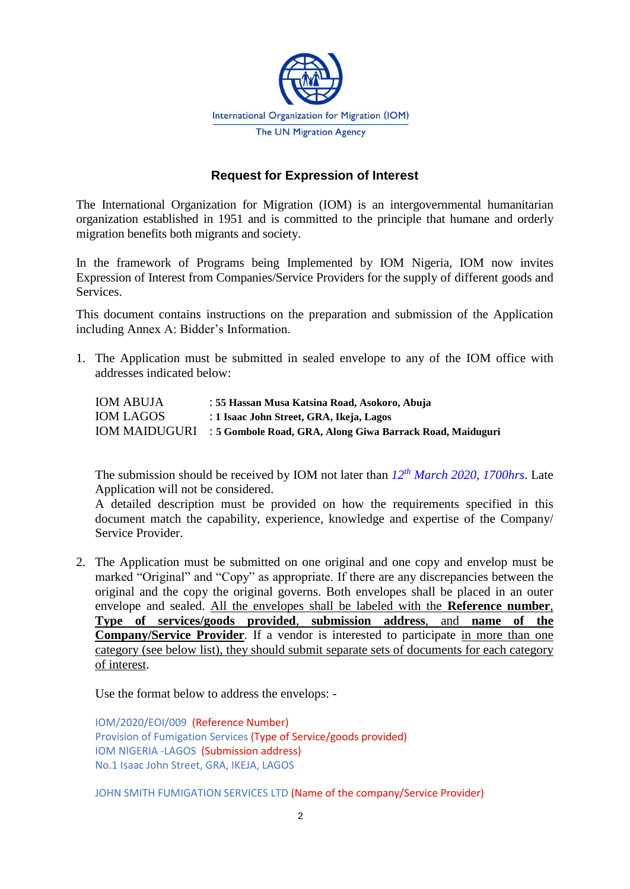

# **Request for Expression of Interest**

The International Organization for Migration (IOM) is an intergovernmental humanitarian organization established in 1951 and is committed to the principle that humane and orderly migration benefits both migrants and society.

In the framework of Programs being Implemented by IOM Nigeria*,* IOM now invites Expression of Interest from Companies/Service Providers for the supply of different goods and Services.

This document contains instructions on the preparation and submission of the Application including Annex A: Bidder's Information.

1. The Application must be submitted in sealed envelope to any of the IOM office with addresses indicated below:

| <b>IOM ABUJA</b> | : 55 Hassan Musa Katsina Road, Asokoro, Abuja                           |
|------------------|-------------------------------------------------------------------------|
| <b>IOM LAGOS</b> | : 1 Isaac John Street, GRA, Ikeja, Lagos                                |
|                  | IOM MAIDUGURI : 5 Gombole Road, GRA, Along Giwa Barrack Road, Maiduguri |

The submission should be received by IOM not later than  $12^{th}$  *March* 2020, 1700hrs. Late Application will not be considered.

A detailed description must be provided on how the requirements specified in this document match the capability, experience, knowledge and expertise of the Company/ Service Provider.

2. The Application must be submitted on one original and one copy and envelop must be marked "Original" and "Copy" as appropriate. If there are any discrepancies between the original and the copy the original governs. Both envelopes shall be placed in an outer envelope and sealed. All the envelopes shall be labeled with the **Reference number**, **Type of services/goods provided**, **submission address**, and **name of the Company/Service Provider**. If a vendor is interested to participate in more than one category (see below list), they should submit separate sets of documents for each category of interest.

Use the format below to address the envelops: -

IOM/2020/EOI/009 (Reference Number) Provision of Fumigation Services (Type of Service/goods provided) IOM NIGERIA -LAGOS (Submission address) No.1 Isaac John Street, GRA, IKEJA, LAGOS

JOHN SMITH FUMIGATION SERVICES LTD (Name of the company/Service Provider)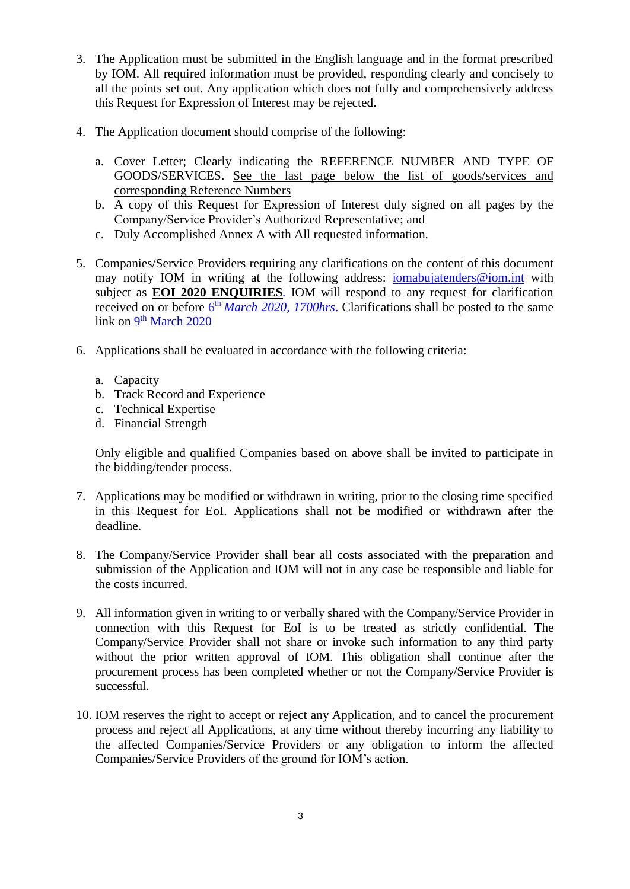- 3. The Application must be submitted in the English language and in the format prescribed by IOM. All required information must be provided, responding clearly and concisely to all the points set out. Any application which does not fully and comprehensively address this Request for Expression of Interest may be rejected.
- 4. The Application document should comprise of the following:
	- a. Cover Letter; Clearly indicating the REFERENCE NUMBER AND TYPE OF GOODS/SERVICES. See the last page below the list of goods/services and corresponding Reference Numbers
	- b. A copy of this Request for Expression of Interest duly signed on all pages by the Company/Service Provider's Authorized Representative; and
	- c. Duly Accomplished Annex A with All requested information.
- 5. Companies/Service Providers requiring any clarifications on the content of this document may notify IOM in writing at the following address: [iomabujatenders@iom.int](mailto:iomabujatenders@iom.int) with subject as **EOI 2020 ENQUIRIES***.* IOM will respond to any request for clarification received on or before 6<sup>th</sup> *March* 2020, 1700hrs. Clarifications shall be posted to the same link on 9<sup>th</sup> March 2020
- 6. Applications shall be evaluated in accordance with the following criteria:
	- a. Capacity
	- b. Track Record and Experience
	- c. Technical Expertise
	- d. Financial Strength

Only eligible and qualified Companies based on above shall be invited to participate in the bidding/tender process.

- 7. Applications may be modified or withdrawn in writing, prior to the closing time specified in this Request for EoI. Applications shall not be modified or withdrawn after the deadline.
- 8. The Company/Service Provider shall bear all costs associated with the preparation and submission of the Application and IOM will not in any case be responsible and liable for the costs incurred.
- 9. All information given in writing to or verbally shared with the Company/Service Provider in connection with this Request for EoI is to be treated as strictly confidential. The Company/Service Provider shall not share or invoke such information to any third party without the prior written approval of IOM. This obligation shall continue after the procurement process has been completed whether or not the Company/Service Provider is successful.
- 10. IOM reserves the right to accept or reject any Application, and to cancel the procurement process and reject all Applications, at any time without thereby incurring any liability to the affected Companies/Service Providers or any obligation to inform the affected Companies/Service Providers of the ground for IOM's action.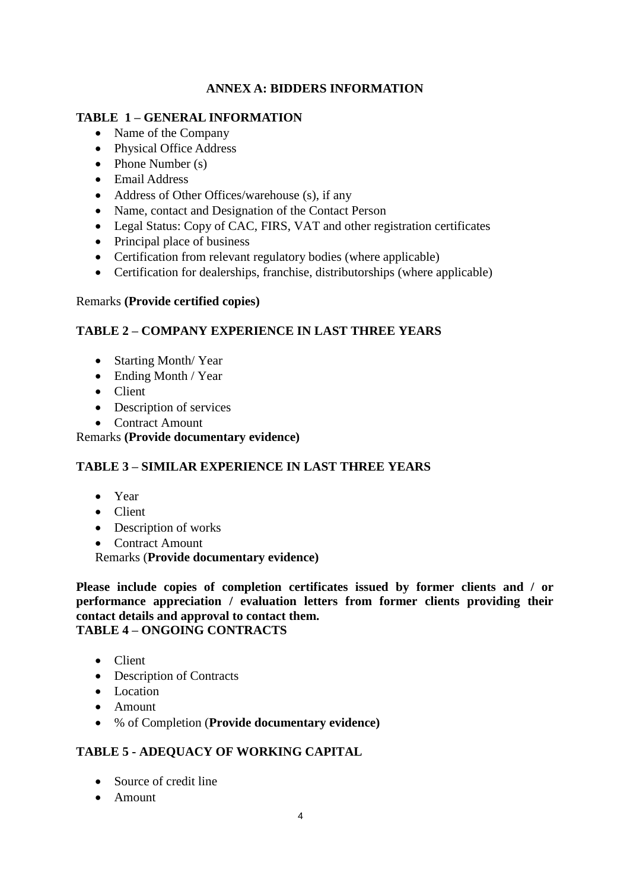# **ANNEX A: BIDDERS INFORMATION**

## **TABLE 1 – GENERAL INFORMATION**

- Name of the Company
- Physical Office Address
- Phone Number (s)
- Email Address
- Address of Other Offices/warehouse (s), if any
- Name, contact and Designation of the Contact Person
- Legal Status: Copy of CAC, FIRS, VAT and other registration certificates
- Principal place of business
- Certification from relevant regulatory bodies (where applicable)
- Certification for dealerships, franchise, distributorships (where applicable)

### Remarks **(Provide certified copies)**

## **TABLE 2 – COMPANY EXPERIENCE IN LAST THREE YEARS**

- Starting Month/Year
- Ending Month / Year
- Client
- Description of services
- Contract Amount

Remarks **(Provide documentary evidence)**

# **TABLE 3 – SIMILAR EXPERIENCE IN LAST THREE YEARS**

- Year
- Client
- Description of works
- Contract Amount

Remarks (**Provide documentary evidence)**

**Please include copies of completion certificates issued by former clients and / or performance appreciation / evaluation letters from former clients providing their contact details and approval to contact them. TABLE 4 – ONGOING CONTRACTS**

- Client
- Description of Contracts
- Location
- Amount
- % of Completion (**Provide documentary evidence)**

# **TABLE 5 - ADEQUACY OF WORKING CAPITAL**

- Source of credit line
- Amount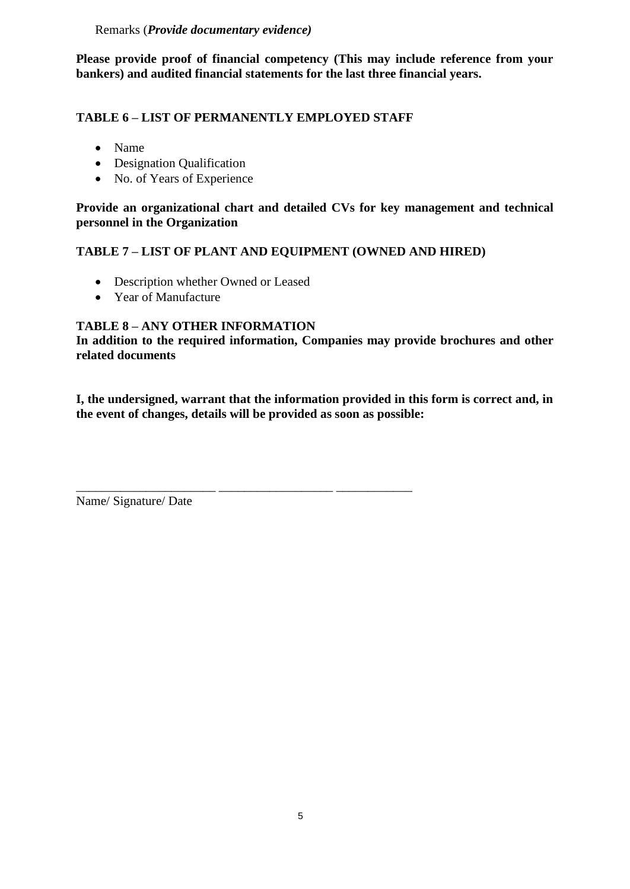### Remarks (*Provide documentary evidence)*

**Please provide proof of financial competency (This may include reference from your bankers) and audited financial statements for the last three financial years.**

### **TABLE 6 – LIST OF PERMANENTLY EMPLOYED STAFF**

\_\_\_\_\_\_\_\_\_\_\_\_\_\_\_\_\_\_\_\_\_\_ \_\_\_\_\_\_\_\_\_\_\_\_\_\_\_\_\_\_ \_\_\_\_\_\_\_\_\_\_\_\_

- Name
- Designation Qualification
- No. of Years of Experience

**Provide an organizational chart and detailed CVs for key management and technical personnel in the Organization**

## **TABLE 7 – LIST OF PLANT AND EQUIPMENT (OWNED AND HIRED)**

- Description whether Owned or Leased
- Year of Manufacture

### **TABLE 8 – ANY OTHER INFORMATION**

**In addition to the required information, Companies may provide brochures and other related documents**

**I, the undersigned, warrant that the information provided in this form is correct and, in the event of changes, details will be provided as soon as possible:**

Name/ Signature/ Date